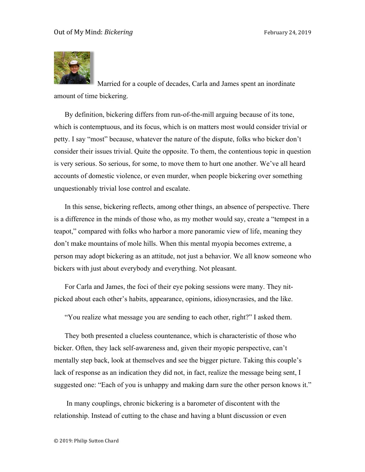

Married for a couple of decades, Carla and James spent an inordinate amount of time bickering.

By definition, bickering differs from run-of-the-mill arguing because of its tone, which is contemptuous, and its focus, which is on matters most would consider trivial or petty. I say "most" because, whatever the nature of the dispute, folks who bicker don't consider their issues trivial. Quite the opposite. To them, the contentious topic in question is very serious. So serious, for some, to move them to hurt one another. We've all heard accounts of domestic violence, or even murder, when people bickering over something unquestionably trivial lose control and escalate.

In this sense, bickering reflects, among other things, an absence of perspective. There is a difference in the minds of those who, as my mother would say, create a "tempest in a teapot," compared with folks who harbor a more panoramic view of life, meaning they don't make mountains of mole hills. When this mental myopia becomes extreme, a person may adopt bickering as an attitude, not just a behavior. We all know someone who bickers with just about everybody and everything. Not pleasant.

For Carla and James, the foci of their eye poking sessions were many. They nitpicked about each other's habits, appearance, opinions, idiosyncrasies, and the like.

"You realize what message you are sending to each other, right?" I asked them.

They both presented a clueless countenance, which is characteristic of those who bicker. Often, they lack self-awareness and, given their myopic perspective, can't mentally step back, look at themselves and see the bigger picture. Taking this couple's lack of response as an indication they did not, in fact, realize the message being sent, I suggested one: "Each of you is unhappy and making darn sure the other person knows it."

In many couplings, chronic bickering is a barometer of discontent with the relationship. Instead of cutting to the chase and having a blunt discussion or even